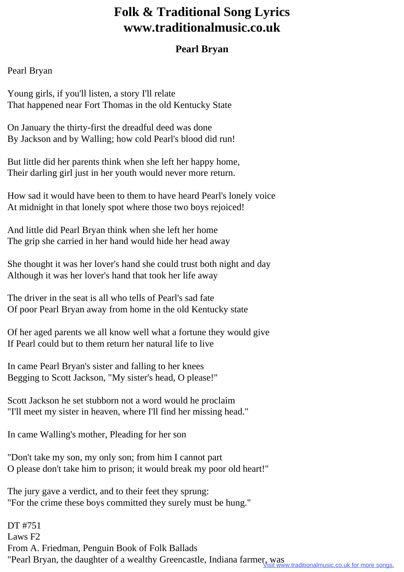## **Folk & Traditional Song Lyrics www.traditionalmusic.co.uk**

## **Pearl Bryan**

## Pearl Bryan

Young girls, if you'll listen, a story I'll relate That happened near Fort Thomas in the old Kentucky State

On January the thirty-first the dreadful deed was done By Jackson and by Walling; how cold Pearl's blood did run!

But little did her parents think when she left her happy home, Their darling girl just in her youth would never more return.

How sad it would have been to them to have heard Pearl's lonely voice At midnight in that lonely spot where those two boys rejoiced!

And little did Pearl Bryan think when she left her home The grip she carried in her hand would hide her head away

She thought it was her lover's hand she could trust both night and day Although it was her lover's hand that took her life away

The driver in the seat is all who tells of Pearl's sad fate Of poor Pearl Bryan away from home in the old Kentucky state

Of her aged parents we all know well what a fortune they would give If Pearl could but to them return her natural life to live

In came Pearl Bryan's sister and falling to her knees Begging to Scott Jackson, "My sister's head, O please!"

Scott Jackson he set stubborn not a word would he proclaim "I'll meet my sister in heaven, where I'll find her missing head."

In came Walling's mother, Pleading for her son

"Don't take my son, my only son; from him I cannot part O please don't take him to prison; it would break my poor old heart!"

The jury gave a verdict, and to their feet they sprung: "For the crime these boys committed they surely must be hung."

DT #751 Laws F2 From A. Friedman, Penguin Book of Folk Ballads "Pearl Bryan, the daughter of a wealthy Greencastle, Indiana farmer, was<br>Visit www.traditionalmusic.co.uk for more songs.